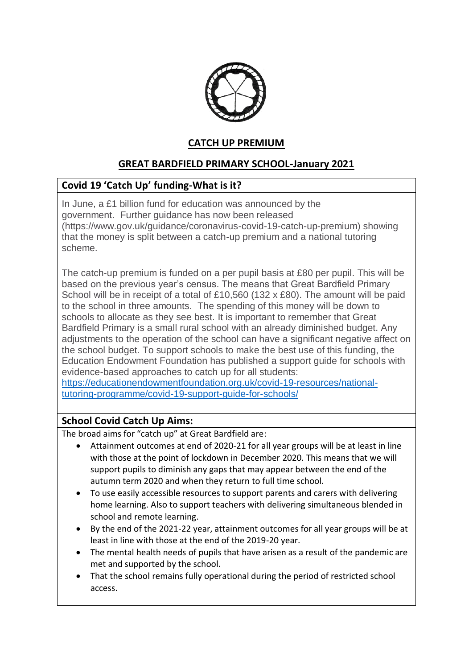

# **CATCH UP PREMIUM**

# **GREAT BARDFIELD PRIMARY SCHOOL-January 2021**

### **Covid 19 'Catch Up' funding-What is it?**

In June, a £1 billion fund for education was announced by the government. Further guidance has now been released (https://www.gov.uk/guidance/coronavirus-covid-19-catch-up-premium) showing that the money is split between a catch-up premium and a national tutoring scheme.

The catch-up premium is funded on a per pupil basis at £80 per pupil. This will be based on the previous year's census. The means that Great Bardfield Primary School will be in receipt of a total of £10,560 (132 x £80). The amount will be paid to the school in three amounts. The spending of this money will be down to schools to allocate as they see best. It is important to remember that Great Bardfield Primary is a small rural school with an already diminished budget. Any adjustments to the operation of the school can have a significant negative affect on the school budget. To support schools to make the best use of this funding, the Education Endowment Foundation has published a support guide for schools with evidence-based approaches to catch up for all students:

[https://educationendowmentfoundation.org.uk/covid-19-resources/national](https://educationendowmentfoundation.org.uk/covid-19-resources/national-tutoring-programme/covid-19-support-guide-for-schools/)[tutoring-programme/covid-19-support-guide-for-schools/](https://educationendowmentfoundation.org.uk/covid-19-resources/national-tutoring-programme/covid-19-support-guide-for-schools/)

### **School Covid Catch Up Aims:**

The broad aims for "catch up" at Great Bardfield are:

- Attainment outcomes at end of 2020-21 for all year groups will be at least in line with those at the point of lockdown in December 2020. This means that we will support pupils to diminish any gaps that may appear between the end of the autumn term 2020 and when they return to full time school.
- To use easily accessible resources to support parents and carers with delivering home learning. Also to support teachers with delivering simultaneous blended in school and remote learning.
- By the end of the 2021-22 year, attainment outcomes for all year groups will be at least in line with those at the end of the 2019-20 year.
- The mental health needs of pupils that have arisen as a result of the pandemic are met and supported by the school.
- That the school remains fully operational during the period of restricted school access.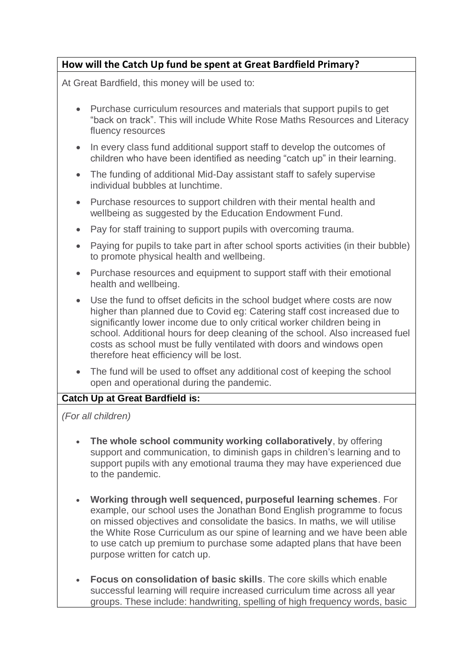# **How will the Catch Up fund be spent at Great Bardfield Primary?**

At Great Bardfield, this money will be used to:

- Purchase curriculum resources and materials that support pupils to get "back on track". This will include White Rose Maths Resources and Literacy fluency resources
- In every class fund additional support staff to develop the outcomes of children who have been identified as needing "catch up" in their learning.
- The funding of additional Mid-Day assistant staff to safely supervise individual bubbles at lunchtime.
- Purchase resources to support children with their mental health and wellbeing as suggested by the Education Endowment Fund.
- Pay for staff training to support pupils with overcoming trauma.
- Paying for pupils to take part in after school sports activities (in their bubble) to promote physical health and wellbeing.
- Purchase resources and equipment to support staff with their emotional health and wellbeing.
- Use the fund to offset deficits in the school budget where costs are now higher than planned due to Covid eg: Catering staff cost increased due to significantly lower income due to only critical worker children being in school. Additional hours for deep cleaning of the school. Also increased fuel costs as school must be fully ventilated with doors and windows open therefore heat efficiency will be lost.
- The fund will be used to offset any additional cost of keeping the school open and operational during the pandemic.

#### **Catch Up at Great Bardfield is:**

*(For all children)*

- **The whole school community working collaboratively**, by offering support and communication, to diminish gaps in children's learning and to support pupils with any emotional trauma they may have experienced due to the pandemic.
- **Working through well sequenced, purposeful learning schemes**. For example, our school uses the Jonathan Bond English programme to focus on missed objectives and consolidate the basics. In maths, we will utilise the White Rose Curriculum as our spine of learning and we have been able to use catch up premium to purchase some adapted plans that have been purpose written for catch up.
- **Focus on consolidation of basic skills**. The core skills which enable successful learning will require increased curriculum time across all year groups. These include: handwriting, spelling of high frequency words, basic